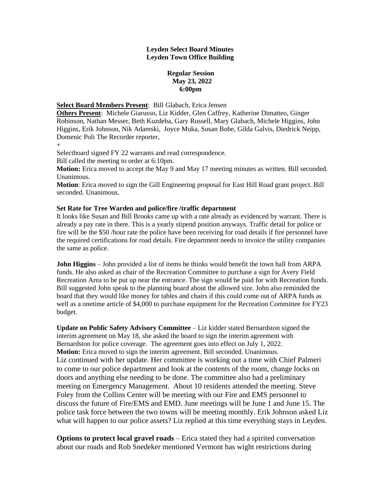## **Leyden Select Board Minutes Leyden Town Office Building**

## **Regular Session May 23, 2022 6:00pm**

**Select Board Members Present**: Bill Glabach, Erica Jensen

**Others Present**: Michele Giarusso, Liz Kidder, Glen Caffrey, Katherine Dimatteo, Ginger Robinson, Nathan Messer, Beth Kuzdeba, Gary Russell, Mary Glabach, Michele Higgins, John Higgins, Erik Johnson, Nik Adamski, Joyce Muka, Susan Bobe, Gilda Galvis, Diedrick Neipp, Domenic Poli The Recorder reporter,

+

Selectboard signed FY 22 warrants and read correspondence.

Bill called the meeting to order at 6:10pm.

**Motion:** Erica moved to accept the May 9 and May 17 meeting minutes as written. Bill seconded. Unanimous.

**Motion**: Erica moved to sign the Gill Engineering proposal for East Hill Road grant project. Bill seconded. Unanimous.

## **Set Rate for Tree Warden and police/fire /traffic department**

It looks like Susan and Bill Brooks came up with a rate already as evidenced by warrant. There is already a pay rate in there. This is a yearly stipend position anyways. Traffic detail for police or fire will be the \$50 /hour rate the police have been receiving for road details if fire personnel have the required certifications for road details. Fire department needs to invoice the utility companies the same as police.

**John Higgins** – John provided a list of items he thinks would benefit the town hall from ARPA funds. He also asked as chair of the Recreation Committee to purchase a sign for Avery Field Recreation Area to be put up near the entrance. The sign would be paid for with Recreation funds. Bill suggested John speak to the planning board about the allowed size. John also reminded the board that they would like money for tables and chairs if this could come out of ARPA funds as well as a onetime article of \$4,000 to purchase equipment for the Recreation Committee for FY23 budget.

**Update on Public Safety Advisory Committee** – Liz kidder stated Bernardston signed the interim agreement on May 18, she asked the board to sign the interim agreement with Bernardston for police coverage. The agreement goes into effect on July 1, 2022. **Motion:** Erica moved to sign the interim agreement. Bill seconded. Unanimous. Liz continued with her update. Her committee is working out a time with Chief Palmeri to come to our police department and look at the contents of the room, change locks on doors and anything else needing to be done. The committee also had a preliminary meeting on Emergency Management. About 10 residents attended the meeting. Steve Foley from the Collins Center will be meeting with our Fire and EMS personnel to discuss the future of Fire/EMS and EMD. June meetings will be June 1 and June 15. The police task force between the two towns will be meeting monthly. Erik Johnson asked Liz what will happen to our police assets? Liz replied at this time everything stays in Leyden.

**Options to protect local gravel roads** – Erica stated they had a spirited conversation about our roads and Rob Snedeker mentioned Vermont has wight restrictions during